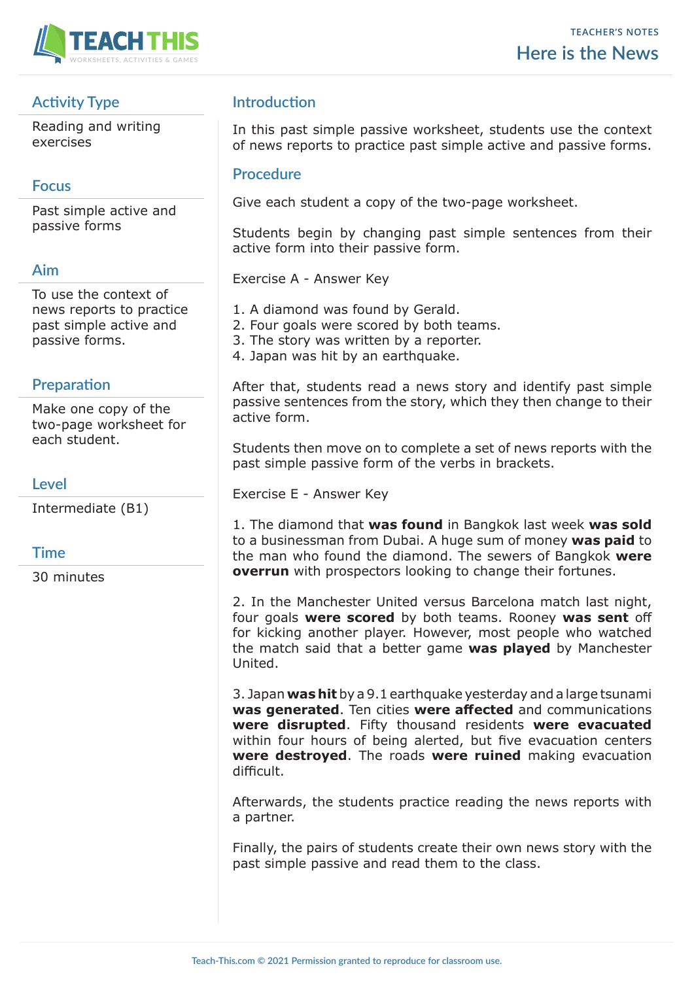

# **Activity Type**

Reading and writing exercises

## **Focus**

Past simple active and passive forms

### **Aim**

To use the context of news reports to practice past simple active and passive forms.

## **Preparation**

Make one copy of the two-page worksheet for each student.

## **Level**

Intermediate (B1)

### **Time**

30 minutes

## **Introduction**

In this past simple passive worksheet, students use the context of news reports to practice past simple active and passive forms.

#### **Procedure**

Give each student a copy of the two-page worksheet.

Students begin by changing past simple sentences from their active form into their passive form.

Exercise A - Answer Key

- 1. A diamond was found by Gerald.
- 2. Four goals were scored by both teams.
- 3. The story was written by a reporter.
- 4. Japan was hit by an earthquake.

After that, students read a news story and identify past simple passive sentences from the story, which they then change to their active form.

Students then move on to complete a set of news reports with the past simple passive form of the verbs in brackets.

Exercise E - Answer Key

1. The diamond that **was found** in Bangkok last week **was sold**  to a businessman from Dubai. A huge sum of money **was paid** to the man who found the diamond. The sewers of Bangkok **were overrun** with prospectors looking to change their fortunes.

2. In the Manchester United versus Barcelona match last night, four goals **were scored** by both teams. Rooney **was sent** off for kicking another player. However, most people who watched the match said that a better game **was played** by Manchester United.

3. Japan **was hit** by a 9.1 earthquake yesterday and a large tsunami **was generated**. Ten cities **were affected** and communications **were disrupted**. Fifty thousand residents **were evacuated** within four hours of being alerted, but five evacuation centers **were destroyed**. The roads **were ruined** making evacuation difficult.

Afterwards, the students practice reading the news reports with a partner.

Finally, the pairs of students create their own news story with the past simple passive and read them to the class.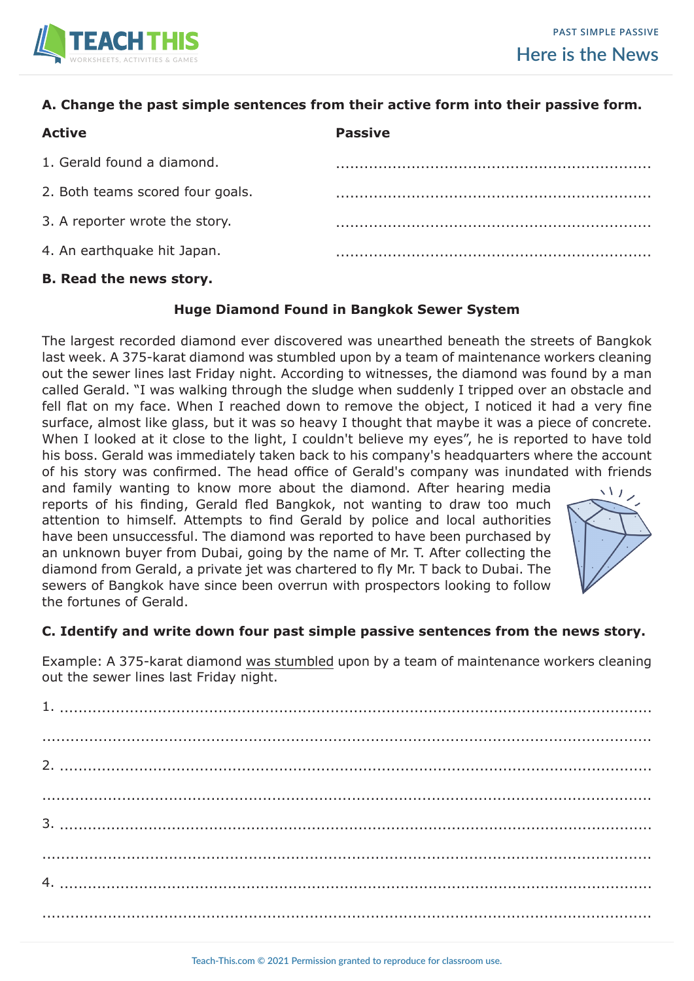

### **A. Change the past simple sentences from their active form into their passive form.**

| <b>Active</b>                    | <b>Passive</b> |
|----------------------------------|----------------|
| 1. Gerald found a diamond.       |                |
| 2. Both teams scored four goals. |                |
| 3. A reporter wrote the story.   |                |
| 4. An earthquake hit Japan.      |                |
|                                  |                |

#### **B. Read the news story.**

#### **Huge Diamond Found in Bangkok Sewer System**

The largest recorded diamond ever discovered was unearthed beneath the streets of Bangkok last week. A 375-karat diamond was stumbled upon by a team of maintenance workers cleaning out the sewer lines last Friday night. According to witnesses, the diamond was found by a man called Gerald. "I was walking through the sludge when suddenly I tripped over an obstacle and fell flat on my face. When I reached down to remove the object, I noticed it had a very fine surface, almost like glass, but it was so heavy I thought that maybe it was a piece of concrete. When I looked at it close to the light, I couldn't believe my eyes", he is reported to have told his boss. Gerald was immediately taken back to his company's headquarters where the account of his story was confirmed. The head office of Gerald's company was inundated with friends

and family wanting to know more about the diamond. After hearing media reports of his finding, Gerald fled Bangkok, not wanting to draw too much attention to himself. Attempts to find Gerald by police and local authorities have been unsuccessful. The diamond was reported to have been purchased by an unknown buyer from Dubai, going by the name of Mr. T. After collecting the diamond from Gerald, a private jet was chartered to fly Mr. T back to Dubai. The sewers of Bangkok have since been overrun with prospectors looking to follow the fortunes of Gerald.



#### **C. Identify and write down four past simple passive sentences from the news story.**

Example: A 375-karat diamond was stumbled upon by a team of maintenance workers cleaning out the sewer lines last Friday night.